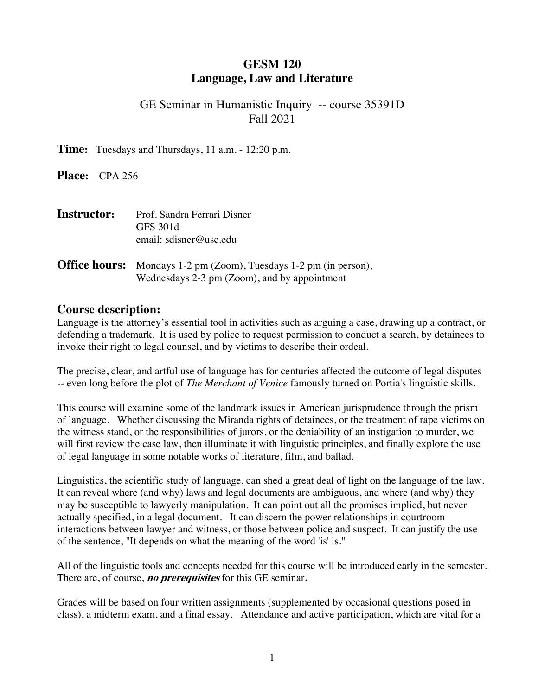## **GESM 120 Language, Law and Literature**

## GE Seminar in Humanistic Inquiry -- course 35391D Fall 2021

**Time:** Tuesdays and Thursdays, 11 a.m. - 12:20 p.m.

**Place:** CPA 256

| <b>Instructor:</b> | Prof. Sandra Ferrari Disner<br><b>GFS</b> 301d<br>email: sdisner@usc.edu                                                 |
|--------------------|--------------------------------------------------------------------------------------------------------------------------|
|                    | <b>Office hours:</b> Mondays 1-2 pm (Zoom), Tuesdays 1-2 pm (in person),<br>Wednesdays 2-3 pm (Zoom), and by appointment |

#### **Course description:**

Language is the attorney's essential tool in activities such as arguing a case, drawing up a contract, or defending a trademark. It is used by police to request permission to conduct a search, by detainees to invoke their right to legal counsel, and by victims to describe their ordeal.

The precise, clear, and artful use of language has for centuries affected the outcome of legal disputes -- even long before the plot of *The Merchant of Venice* famously turned on Portia's linguistic skills.

This course will examine some of the landmark issues in American jurisprudence through the prism of language. Whether discussing the Miranda rights of detainees, or the treatment of rape victims on the witness stand, or the responsibilities of jurors, or the deniability of an instigation to murder, we will first review the case law, then illuminate it with linguistic principles, and finally explore the use of legal language in some notable works of literature, film, and ballad.

Linguistics, the scientific study of language, can shed a great deal of light on the language of the law. It can reveal where (and why) laws and legal documents are ambiguous, and where (and why) they may be susceptible to lawyerly manipulation. It can point out all the promises implied, but never actually specified, in a legal document. It can discern the power relationships in courtroom interactions between lawyer and witness, or those between police and suspect. It can justify the use of the sentence, "It depends on what the meaning of the word 'is' is."

All of the linguistic tools and concepts needed for this course will be introduced early in the semester. There are, of course, **no prerequisites** for this GE seminar**.**

Grades will be based on four written assignments (supplemented by occasional questions posed in class), a midterm exam, and a final essay. Attendance and active participation, which are vital for a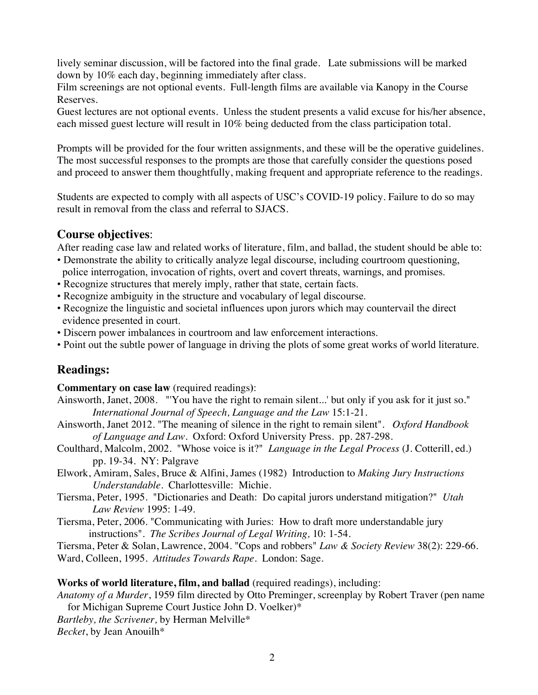lively seminar discussion, will be factored into the final grade. Late submissions will be marked down by 10% each day, beginning immediately after class.

Film screenings are not optional events. Full-length films are available via Kanopy in the Course Reserves.

Guest lectures are not optional events. Unless the student presents a valid excuse for his/her absence, each missed guest lecture will result in 10% being deducted from the class participation total.

Prompts will be provided for the four written assignments, and these will be the operative guidelines. The most successful responses to the prompts are those that carefully consider the questions posed and proceed to answer them thoughtfully, making frequent and appropriate reference to the readings.

Students are expected to comply with all aspects of USC's COVID-19 policy. Failure to do so may result in removal from the class and referral to SJACS.

#### **Course objectives**:

After reading case law and related works of literature, film, and ballad, the student should be able to:

- Demonstrate the ability to critically analyze legal discourse, including courtroom questioning, police interrogation, invocation of rights, overt and covert threats, warnings, and promises.
- Recognize structures that merely imply, rather that state, certain facts.
- Recognize ambiguity in the structure and vocabulary of legal discourse.
- Recognize the linguistic and societal influences upon jurors which may countervail the direct evidence presented in court.
- Discern power imbalances in courtroom and law enforcement interactions.
- Point out the subtle power of language in driving the plots of some great works of world literature.

# **Readings:**

**Commentary on case law** (required readings**)**:

- Ainsworth, Janet, 2008. "'You have the right to remain silent...' but only if you ask for it just so." *International Journal of Speech, Language and the Law* 15:1-21.
- Ainsworth, Janet 2012. "The meaning of silence in the right to remain silent". *Oxford Handbook of Language and Law.* Oxford: Oxford University Press. pp. 287-298.
- Coulthard, Malcolm, 2002. "Whose voice is it?" *Language in the Legal Process* (J. Cotterill, ed.) pp. 19-34. NY: Palgrave
- Elwork, Amiram, Sales, Bruce & Alfini, James (1982) Introduction to *Making Jury Instructions Understandable.* Charlottesville: Michie.
- Tiersma, Peter, 1995. "Dictionaries and Death: Do capital jurors understand mitigation?" *Utah Law Review* 1995: 1-49.
- Tiersma, Peter, 2006. "Communicating with Juries: How to draft more understandable jury instructions". *The Scribes Journal of Legal Writing,* 10: 1-54.

Tiersma, Peter & Solan, Lawrence, 2004. "Cops and robbers" *Law & Society Review* 38(2): 229-66. Ward, Colleen, 1995. *Attitudes Towards Rape*. London: Sage.

#### **Works of world literature, film, and ballad** (required readings), including:

*Anatomy of a Murder*, 1959 film directed by Otto Preminger, screenplay by Robert Traver (pen name for Michigan Supreme Court Justice John D. Voelker)\*

*Bartleby, the Scrivener,* by Herman Melville\* *Becket*, by Jean Anouilh\*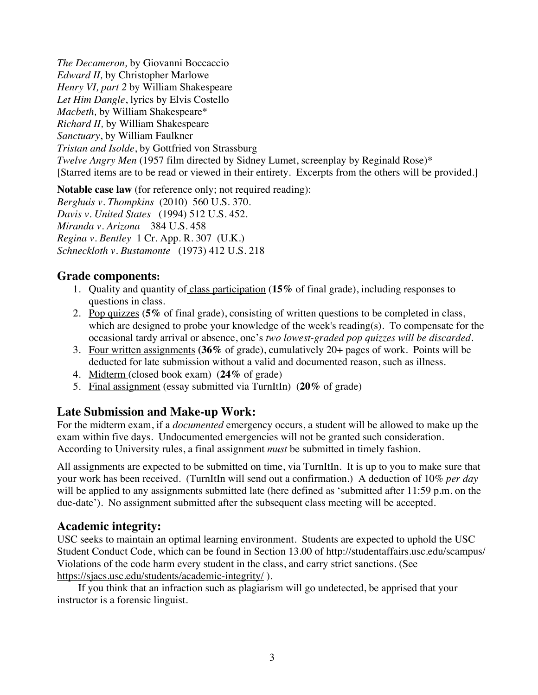*The Decameron,* by Giovanni Boccaccio *Edward II,* by Christopher Marlowe *Henry VI, part 2* by William Shakespeare *Let Him Dangle*, lyrics by Elvis Costello *Macbeth,* by William Shakespeare\* *Richard II,* by William Shakespeare *Sanctuary*, by William Faulkner *Tristan and Isolde*, by Gottfried von Strassburg *Twelve Angry Men* (1957 film directed by Sidney Lumet, screenplay by Reginald Rose)\* [Starred items are to be read or viewed in their entirety. Excerpts from the others will be provided.]

**Notable case law** (for reference only; not required reading): *Berghuis v. Thompkins* (2010) 560 U.S. 370. *Davis v. United States* (1994) 512 U.S. 452. *Miranda v. Arizona* 384 U.S. 458 *Regina v. Bentley* 1 Cr. App. R. 307 (U.K.) *Schneckloth v. Bustamonte* (1973) 412 U.S. 218

#### **Grade components:**

- 1. Quality and quantity of class participation (**15%** of final grade), including responses to questions in class.
- 2. Pop quizzes (**5%** of final grade), consisting of written questions to be completed in class, which are designed to probe your knowledge of the week's reading(s). To compensate for the occasional tardy arrival or absence, one's *two lowest-graded pop quizzes will be discarded*.
- 3. Four written assignments **(36%** of grade), cumulatively 20+ pages of work. Points will be deducted for late submission without a valid and documented reason, such as illness.
- 4. Midterm (closed book exam) (**24%** of grade)
- 5. Final assignment (essay submitted via TurnItIn) (**20%** of grade)

# **Late Submission and Make-up Work:**

For the midterm exam, if a *documented* emergency occurs, a student will be allowed to make up the exam within five days. Undocumented emergencies will not be granted such consideration. According to University rules, a final assignment *must* be submitted in timely fashion.

All assignments are expected to be submitted on time, via TurnItIn. It is up to you to make sure that your work has been received. (TurnItIn will send out a confirmation.) A deduction of 10% *per day* will be applied to any assignments submitted late (here defined as 'submitted after 11:59 p.m. on the due-date'). No assignment submitted after the subsequent class meeting will be accepted.

### **Academic integrity:**

USC seeks to maintain an optimal learning environment. Students are expected to uphold the USC Student Conduct Code, which can be found in Section 13.00 of http://studentaffairs.usc.edu/scampus/ Violations of the code harm every student in the class, and carry strict sanctions. (See https://sjacs.usc.edu/students/academic-integrity/ ).

 If you think that an infraction such as plagiarism will go undetected, be apprised that your instructor is a forensic linguist.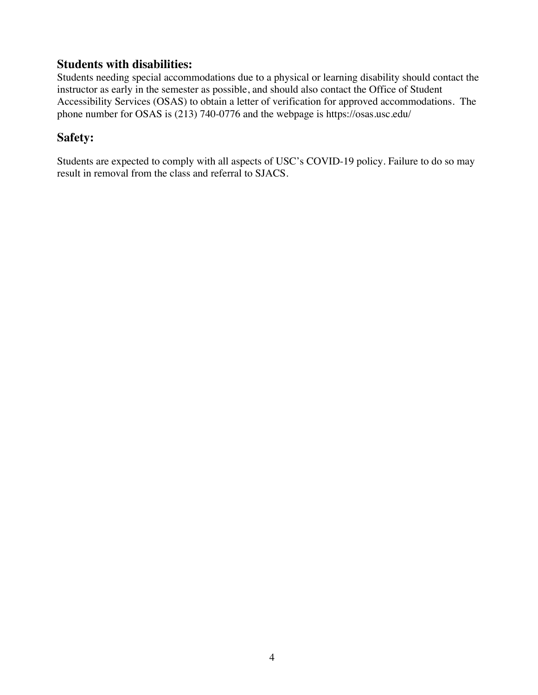## **Students with disabilities:**

Students needing special accommodations due to a physical or learning disability should contact the instructor as early in the semester as possible, and should also contact the Office of Student Accessibility Services (OSAS) to obtain a letter of verification for approved accommodations. The phone number for OSAS is (213) 740-0776 and the webpage is https://osas.usc.edu/

## **Safety:**

Students are expected to comply with all aspects of USC's COVID-19 policy. Failure to do so may result in removal from the class and referral to SJACS.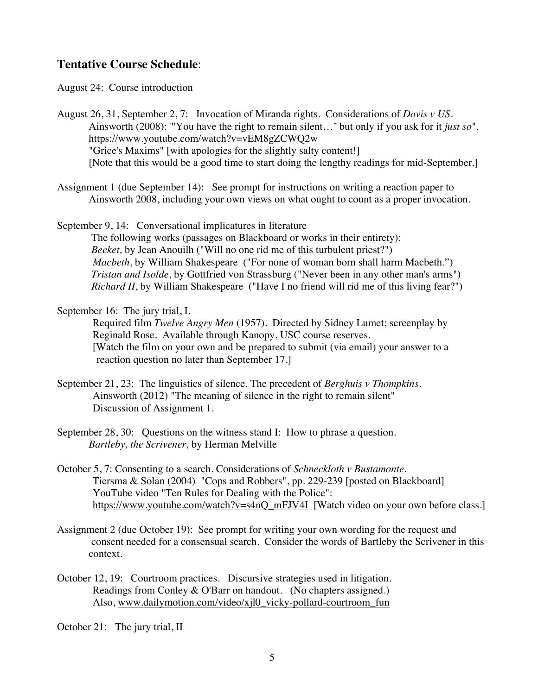### **Tentative Course Schedule**:

August 24: Course introduction

August 26, 31, September 2, 7: Invocation of Miranda rights. Considerations of *Davis v US.* Ainsworth (2008): "'You have the right to remain silent…' but only if you ask for it *just so*". https://www.youtube.com/watch?v=vEM8gZCWQ2w "Grice's Maxims" [with apologies for the slightly salty content!] [Note that this would be a good time to start doing the lengthy readings for mid-September.]

- Assignment 1 (due September 14): See prompt for instructions on writing a reaction paper to Ainsworth 2008, including your own views on what ought to count as a proper invocation.
- September 9, 14: Conversational implicatures in literature The following works (passages on Blackboard or works in their entirety): *Becket*, by Jean Anouilh ("Will no one rid me of this turbulent priest?") *Macbeth*, by William Shakespeare ("For none of woman born shall harm Macbeth.") *Tristan and Isolde*, by Gottfried von Strassburg ("Never been in any other man's arms") *Richard II*, by William Shakespeare ("Have I no friend will rid me of this living fear?")

#### September 16: The jury trial, I.

Required film *Twelve Angry Men* (1957). Directed by Sidney Lumet; screenplay by Reginald Rose. Available through Kanopy, USC course reserves. [Watch the film on your own and be prepared to submit (via email) your answer to a reaction question no later than September 17*.*]

- September 21, 23: The linguistics of silence. The precedent of *Berghuis v Thompkins.* Ainsworth (2012) "The meaning of silence in the right to remain silent" Discussion of Assignment 1.
- September 28, 30: Questions on the witness stand I: How to phrase a question. *Bartleby, the Scrivener,* by Herman Melville
- October 5, 7: Consenting to a search. Considerations of *Schneckloth v Bustamonte*. Tiersma & Solan (2004) "Cops and Robbers", pp. 229-239 [posted on Blackboard] YouTube video "Ten Rules for Dealing with the Police": https://www.youtube.com/watch?v=s4nQ\_mFJV4I [Watch video on your own before class.]
- Assignment 2 (due October 19): See prompt for writing your own wording for the request and consent needed for a consensual search. Consider the words of Bartleby the Scrivener in this context.
- October 12, 19: Courtroom practices. Discursive strategies used in litigation. Readings from Conley & O'Barr on handout. (No chapters assigned.) Also, www.dailymotion.com/video/xjl0\_vicky-pollard-courtroom\_fun

October 21: The jury trial, II